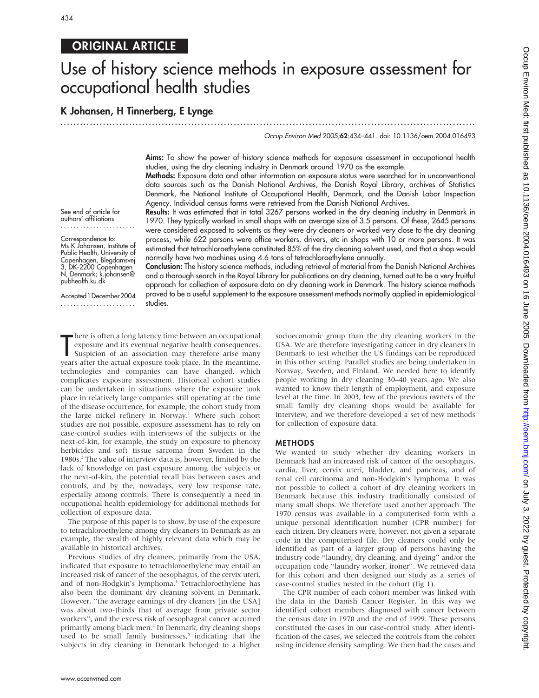# ORIGINAL ARTICLE

# Use of history science methods in exposure assessment for occupational health studies

...............................................................................................................................

K Johansen, H Tinnerberg, E Lynge

Occup Environ Med 2005;62:434–441. doi: 10.1136/oem.2004.016493

Aims: To show the power of history science methods for exposure assessment in occupational health studies, using the dry cleaning industry in Denmark around 1970 as the example.

Methods: Exposure data and other information on exposure status were searched for in unconventional data sources such as the Danish National Archives, the Danish Royal Library, archives of Statistics Denmark, the National Institute of Occupational Health, Denmark, and the Danish Labor Inspection Agency. Individual census forms were retrieved from the Danish National Archives. Results: It was estimated that in total 3267 persons worked in the dry cleaning industry in Denmark in

See end of article for authors' affiliations .......................

Correspondence to: Ms K Johansen, Institute of Public Health, University of Copenhagen, Blegdamsvej 3, DK-2200 Copenhagen N, Denmark; k.johansen@ pubhealth.ku.dk

Accepted 1 December 2004 .......................

1970. They typically worked in small shops with an average size of 3.5 persons. Of these, 2645 persons were considered exposed to solvents as they were dry cleaners or worked very close to the dry cleaning process, while 622 persons were office workers, drivers, etc in shops with 10 or more persons. It was estimated that tetrachloroethylene constituted 85% of the dry cleaning solvent used, and that a shop would normally have two machines using 4.6 tons of tetrachloroethylene annually. Conclusion: The history science methods, including retrieval of material from the Danish National Archives

and a thorough search in the Royal Library for publications on dry cleaning, turned out to be a very fruitful approach for collection of exposure data on dry cleaning work in Denmark. The history science methods proved to be a useful supplement to the exposure assessment methods normally applied in epidemiological studies.

here is often a long latency time between an occupational exposure and its eventual negative health consequences.

There is often a long latency time between an occupational<br>exposure and its eventual negative health consequences.<br>Suspicion of an association may therefore arise many<br>years after the actual exposure took place. In the mea Suspicion of an association may therefore arise many technologies and companies can have changed, which complicates exposure assessment. Historical cohort studies can be undertaken in situations where the exposure took place in relatively large companies still operating at the time of the disease occurrence, for example, the cohort study from the large nickel refinery in Norway.<sup>1</sup> Where such cohort studies are not possible, exposure assessment has to rely on case-control studies with interviews of the subjects or the next-of-kin, for example, the study on exposure to phenoxy herbicides and soft tissue sarcoma from Sweden in the 1980s.<sup>2</sup> The value of interview data is, however, limited by the lack of knowledge on past exposure among the subjects or the next-of-kin, the potential recall bias between cases and controls, and by the, nowadays, very low response rate, especially among controls. There is consequently a need in occupational health epidemiology for additional methods for collection of exposure data.

The purpose of this paper is to show, by use of the exposure to tetrachloroethylene among dry cleaners in Denmark as an example, the wealth of highly relevant data which may be available in historical archives.

Previous studies of dry cleaners, primarily from the USA, indicated that exposure to tetrachloroethylene may entail an increased risk of cancer of the oesophagus, of the cervix uteri, and of non-Hodgkin's lymphoma.<sup>3</sup> Tetrachloroethylene has also been the dominant dry cleaning solvent in Denmark. However, ''the average earnings of dry cleaners [in the USA] was about two-thirds that of average from private sector workers'', and the excess risk of oesophageal cancer occurred primarily among black men.4 In Denmark, dry cleaning shops used to be small family businesses,<sup>5</sup> indicating that the subjects in dry cleaning in Denmark belonged to a higher

socioeconomic group than the dry cleaning workers in the USA. We are therefore investigating cancer in dry cleaners in Denmark to test whether the US findings can be reproduced in this other setting. Parallel studies are being undertaken in Norway, Sweden, and Finland. We needed here to identify people working in dry cleaning 30–40 years ago. We also wanted to know their length of employment, and exposure level at the time. In 2003, few of the previous owners of the small family dry cleaning shops would be available for interview, and we therefore developed a set of new methods for collection of exposure data.

## **METHODS**

We wanted to study whether dry cleaning workers in Denmark had an increased risk of cancer of the oesophagus, cardia, liver, cervix uteri, bladder, and pancreas, and of renal cell carcinoma and non-Hodgkin's lymphoma. It was not possible to collect a cohort of dry cleaning workers in Denmark because this industry traditionally consisted of many small shops. We therefore used another approach. The 1970 census was available in a computerised form with a unique personal identification number (CPR number) for each citizen. Dry cleaners were, however, not given a separate code in the computerised file. Dry cleaners could only be identified as part of a larger group of persons having the industry code ''laundry, dry cleaning, and dyeing'' and/or the occupation code ''laundry worker, ironer''. We retrieved data for this cohort and then designed our study as a series of case-control studies nested in the cohort (fig 1).

The CPR number of each cohort member was linked with the data in the Danish Cancer Register. In this way we identified cohort members diagnosed with cancer between the census date in 1970 and the end of 1999. These persons constituted the cases in our case-control study. After identification of the cases, we selected the controls from the cohort using incidence density sampling. We then had the cases and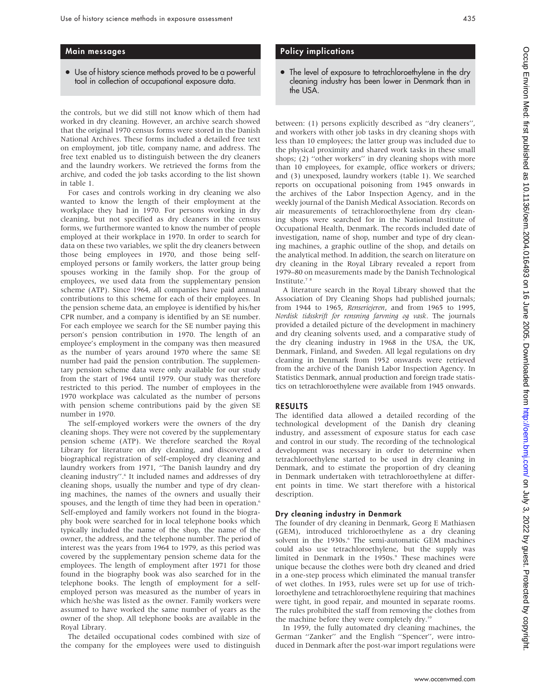#### Main messages

• Use of history science methods proved to be a powerful tool in collection of occupational exposure data.

the controls, but we did still not know which of them had worked in dry cleaning. However, an archive search showed that the original 1970 census forms were stored in the Danish National Archives. These forms included a detailed free text on employment, job title, company name, and address. The free text enabled us to distinguish between the dry cleaners and the laundry workers. We retrieved the forms from the archive, and coded the job tasks according to the list shown in table 1.

For cases and controls working in dry cleaning we also wanted to know the length of their employment at the workplace they had in 1970. For persons working in dry cleaning, but not specified as dry cleaners in the census forms, we furthermore wanted to know the number of people employed at their workplace in 1970. In order to search for data on these two variables, we split the dry cleaners between those being employees in 1970, and those being selfemployed persons or family workers, the latter group being spouses working in the family shop. For the group of employees, we used data from the supplementary pension scheme (ATP). Since 1964, all companies have paid annual contributions to this scheme for each of their employees. In the pension scheme data, an employee is identified by his/her CPR number, and a company is identified by an SE number. For each employee we search for the SE number paying this person's pension contribution in 1970. The length of an employee's employment in the company was then measured as the number of years around 1970 where the same SE number had paid the pension contribution. The supplementary pension scheme data were only available for our study from the start of 1964 until 1979. Our study was therefore restricted to this period. The number of employees in the 1970 workplace was calculated as the number of persons with pension scheme contributions paid by the given SE number in 1970.

The self-employed workers were the owners of the dry cleaning shops. They were not covered by the supplementary pension scheme (ATP). We therefore searched the Royal Library for literature on dry cleaning, and discovered a biographical registration of self-employed dry cleaning and laundry workers from 1971, ''The Danish laundry and dry cleaning industry".<sup>6</sup> It included names and addresses of dry cleaning shops, usually the number and type of dry cleaning machines, the names of the owners and usually their spouses, and the length of time they had been in operation.<sup>6</sup> Self-employed and family workers not found in the biography book were searched for in local telephone books which typically included the name of the shop, the name of the owner, the address, and the telephone number. The period of interest was the years from 1964 to 1979, as this period was covered by the supplementary pension scheme data for the employees. The length of employment after 1971 for those found in the biography book was also searched for in the telephone books. The length of employment for a selfemployed person was measured as the number of years in which he/she was listed as the owner. Family workers were assumed to have worked the same number of years as the owner of the shop. All telephone books are available in the Royal Library.

The detailed occupational codes combined with size of the company for the employees were used to distinguish

### Policy implications

• The level of exposure to tetrachloroethylene in the dry cleaning industry has been lower in Denmark than in the USA.

between: (1) persons explicitly described as ''dry cleaners'', and workers with other job tasks in dry cleaning shops with less than 10 employees; the latter group was included due to the physical proximity and shared work tasks in these small shops; (2) ''other workers'' in dry cleaning shops with more than 10 employees, for example, office workers or drivers; and (3) unexposed, laundry workers (table 1). We searched reports on occupational poisoning from 1945 onwards in the archives of the Labor Inspection Agency, and in the weekly journal of the Danish Medical Association. Records on air measurements of tetrachloroethylene from dry cleaning shops were searched for in the National Institute of Occupational Health, Denmark. The records included date of investigation, name of shop, number and type of dry cleaning machines, a graphic outline of the shop, and details on the analytical method. In addition, the search on literature on dry cleaning in the Royal Library revealed a report from 1979–80 on measurements made by the Danish Technological Institute.7 8

A literature search in the Royal Library showed that the Association of Dry Cleaning Shops had published journals; from 1944 to 1965, Renseriejeren, and from 1965 to 1995, Nordisk tidsskrift for rensning farvning og vask. The journals provided a detailed picture of the development in machinery and dry cleaning solvents used, and a comparative study of the dry cleaning industry in 1968 in the USA, the UK, Denmark, Finland, and Sweden. All legal regulations on dry cleaning in Denmark from 1952 onwards were retrieved from the archive of the Danish Labor Inspection Agency. In Statistics Denmark, annual production and foreign trade statistics on tetrachloroethylene were available from 1945 onwards.

#### RESULTS

The identified data allowed a detailed recording of the technological development of the Danish dry cleaning industry, and assessment of exposure status for each case and control in our study. The recording of the technological development was necessary in order to determine when tetrachloroethylene started to be used in dry cleaning in Denmark, and to estimate the proportion of dry cleaning in Denmark undertaken with tetrachloroethylene at different points in time. We start therefore with a historical description.

#### Dry cleaning industry in Denmark

The founder of dry cleaning in Denmark, Georg E Mathiasen (GEM), introduced trichloroethylene as a dry cleaning solvent in the 1930s.<sup>6</sup> The semi-automatic GEM machines could also use tetrachloroethylene, but the supply was limited in Denmark in the 1950s.<sup>9</sup> These machines were unique because the clothes were both dry cleaned and dried in a one-step process which eliminated the manual transfer of wet clothes. In 1953, rules were set up for use of trichloroethylene and tetrachloroethylene requiring that machines were tight, in good repair, and mounted in separate rooms. The rules prohibited the staff from removing the clothes from the machine before they were completely dry.<sup>10</sup>

In 1959, the fully automated dry cleaning machines, the German ''Zanker'' and the English ''Spencer'', were introduced in Denmark after the post-war import regulations were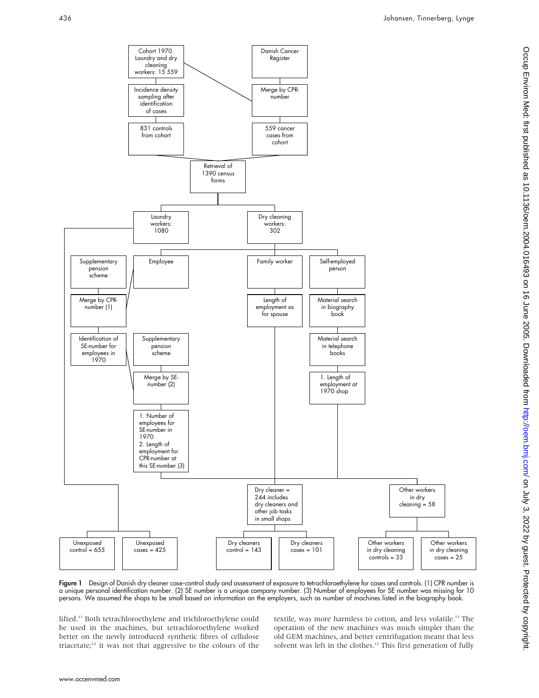

Figure 1 Design of Danish dry cleaner case-control study and assessment of exposure to tetrachloroethylene for cases and controls. (1) CPR number is a unique personal identification number. (2) SE number is a unique company number. (3) Number of employees for SE number was missing for 10 persons. We assumed the shops to be small based on information on the employers, such as number of machines listed in the biography book.

lifted.<sup>11</sup> Both tetrachloroethylene and trichloroethylene could be used in the machines, but tetrachloroethylene worked better on the newly introduced synthetic fibres of cellulose triacetate;12 it was not that aggressive to the colours of the

textile, was more harmless to cotton, and less volatile.13 The operation of the new machines was much simpler than the old GEM machines, and better centrifugation meant that less solvent was left in the clothes.<sup>12</sup> This first generation of fully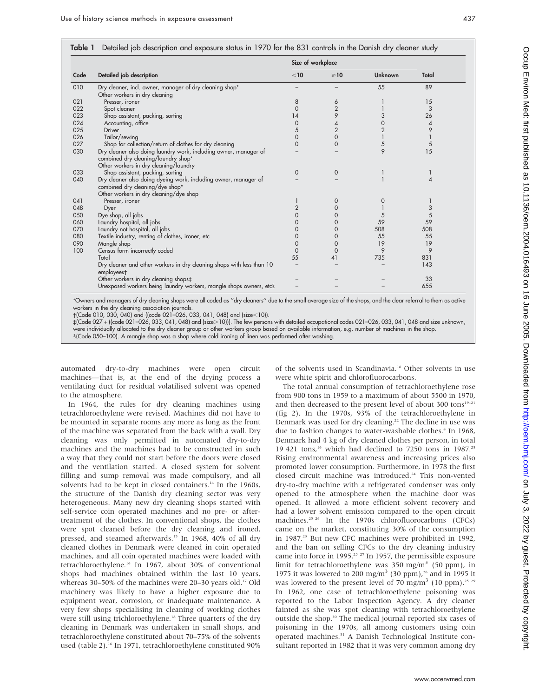|      |                                                                                                                                              | Size of workplace |                |                |       |
|------|----------------------------------------------------------------------------------------------------------------------------------------------|-------------------|----------------|----------------|-------|
| Code | Detailed job description                                                                                                                     | $<$ 10            | $\geq 10$      | Unknown        | Total |
| 010  | Dry cleaner, incl. owner, manager of dry cleaning shop*<br>Other workers in dry cleaning                                                     |                   |                | 55             | 89    |
| 021  | Presser, ironer                                                                                                                              | 8                 | 6              |                | 15    |
| 022  | Spot cleaner                                                                                                                                 | $\Omega$          | $\overline{c}$ |                | 3     |
| 023  | Shop assistant, packing, sorting                                                                                                             | 14                | 9              | 3              | 26    |
| 024  | Accounting, office                                                                                                                           | 0                 | 4              | 0              | 4     |
| 025  | <b>Driver</b>                                                                                                                                | 5                 | $\overline{2}$ | $\overline{2}$ | 9     |
| 026  | Tailor/sewing                                                                                                                                | $\mathbf 0$       | $\overline{O}$ |                |       |
| 027  | Shop for collection/return of clothes for dry cleaning                                                                                       | $\overline{0}$    | $\overline{O}$ | 5              | 5     |
| 030  | Dry cleaner also doing laundry work, including owner, manager of<br>combined dry cleaning/laundry shop*                                      |                   |                | 9              | 15    |
|      | Other workers in dry cleaning/laundry                                                                                                        |                   |                |                |       |
| 033  | Shop assistant, packing, sorting                                                                                                             | $\mathbf 0$       | 0              |                |       |
| 040  | Dry cleaner also doing dyeing work, including owner, manager of<br>combined dry cleaning/dye shop*<br>Other workers in dry cleaning/dye shop |                   |                |                |       |
| 041  | Presser, ironer                                                                                                                              |                   | 0              | 0              |       |
| 048  | Dyer                                                                                                                                         | $\overline{2}$    | 0              |                | 3     |
| 050  | Dye shop, all jobs                                                                                                                           | $\mathbf 0$       | 0              | 5              | 5     |
| 060  | Laundry hospital, all jobs                                                                                                                   | 0                 | $\Omega$       | 59             | 59    |
| 070  | Laundry not hospital, all jobs                                                                                                               | 0                 | $\Omega$       | 508            | 508   |
| 080  | Textile industry, renting of clothes, ironer, etc                                                                                            | 0                 | $\mathbf 0$    | 55             | 55    |
| 090  | Mangle shop                                                                                                                                  | $\mathbf 0$       | $\overline{O}$ | 19             | 19    |
| 100  | Census form incorrectly coded                                                                                                                | $\Omega$          | $\Omega$       | 9              | 9     |
|      | Total                                                                                                                                        | 55                | 41             | 735            | 831   |
|      | Dry cleaner and other workers in dry cleaning shops with less than 10<br>employees†                                                          |                   |                |                | 143   |
|      | Other workers in dry cleaning shops‡                                                                                                         |                   |                |                | 33    |
|      | Unexposed workers being laundry workers, mangle shops owners, etc§                                                                           |                   |                |                | 655   |

\*Owners and managers of dry cleaning shops were all coded as ''dry cleaners'' due to the small average size of the shops, and the clear referral to them as active

workers in the dry cleaning association journals.<br>†(Code 010, 030, 040) and ((code 021–026, 033, 041, 048) and (size<10)).

`(Code 027 + ((code 021–026, 033, 041, 048) and (size.10))). The few persons with detailed occupational codes 021–026, 033, 041, 048 and size unknown, were individually allocated to the dry cleaner group or other workers group based on available information, e.g. number of machines in the shop. 1(Code 050–100). A mangle shop was a shop where cold ironing of linen was performed after washing.

automated dry-to-dry machines were open circuit machines—that is, at the end of the drying process a ventilating duct for residual volatilised solvent was opened to the atmosphere.

In 1964, the rules for dry cleaning machines using tetrachloroethylene were revised. Machines did not have to be mounted in separate rooms any more as long as the front of the machine was separated from the back with a wall. Dry cleaning was only permitted in automated dry-to-dry machines and the machines had to be constructed in such a way that they could not start before the doors were closed and the ventilation started. A closed system for solvent filling and sump removal was made compulsory, and all solvents had to be kept in closed containers.<sup>14</sup> In the 1960s, the structure of the Danish dry cleaning sector was very heterogeneous. Many new dry cleaning shops started with self-service coin operated machines and no pre- or aftertreatment of the clothes. In conventional shops, the clothes were spot cleaned before the dry cleaning and ironed, pressed, and steamed afterwards.<sup>15</sup> In 1968, 40% of all dry cleaned clothes in Denmark were cleaned in coin operated machines, and all coin operated machines were loaded with tetrachloroethylene.16 In 1967, about 30% of conventional shops had machines obtained within the last 10 years, whereas 30–50% of the machines were 20–30 years old.<sup>17</sup> Old machinery was likely to have a higher exposure due to equipment wear, corrosion, or inadequate maintenance. A very few shops specialising in cleaning of working clothes were still using trichloroethylene.<sup>18</sup> Three quarters of the dry cleaning in Denmark was undertaken in small shops, and tetrachloroethylene constituted about 70–75% of the solvents used (table 2).<sup>16</sup> In 1971, tetrachloroethylene constituted 90%

of the solvents used in Scandinavia.18 Other solvents in use were white spirit and chlorofluorocarbons.

The total annual consumption of tetrachloroethylene rose from 900 tons in 1959 to a maximum of about 5500 in 1970, and then decreased to the present level of about 300 tons<sup>19-21</sup> (fig 2). In the 1970s, 93% of the tetrachloroethylene in Denmark was used for dry cleaning.22 The decline in use was due to fashion changes to water-washable clothes.<sup>8</sup> In 1968, Denmark had 4 kg of dry cleaned clothes per person, in total 19 421 tons,<sup>16</sup> which had declined to 7250 tons in 1987.<sup>23</sup> Rising environmental awareness and increasing prices also promoted lower consumption. Furthermore, in 1978 the first closed circuit machine was introduced.<sup>24</sup> This non-vented dry-to-dry machine with a refrigerated condenser was only opened to the atmosphere when the machine door was opened. It allowed a more efficient solvent recovery and had a lower solvent emission compared to the open circuit machines.25 26 In the 1970s chlorofluorocarbons (CFCs) came on the market, constituting 30% of the consumption in 1987.<sup>23</sup> But new CFC machines were prohibited in 1992, and the ban on selling CFCs to the dry cleaning industry came into force in 1995.<sup>25-27</sup> In 1957, the permissible exposure limit for tetrachloroethylene was  $350 \text{ mg/m}^3$  (50 ppm), in 1975 it was lowered to 200 mg/m<sup>3</sup> (30 ppm),<sup>28</sup> and in 1995 it was lowered to the present level of 70 mg/m<sup>3</sup> (10 ppm).<sup>25 29</sup> In 1962, one case of tetrachloroethylene poisoning was reported to the Labor Inspection Agency. A dry cleaner fainted as she was spot cleaning with tetrachloroethylene outside the shop.30 The medical journal reported six cases of poisoning in the 1970s, all among customers using coin operated machines.31 A Danish Technological Institute consultant reported in 1982 that it was very common among dry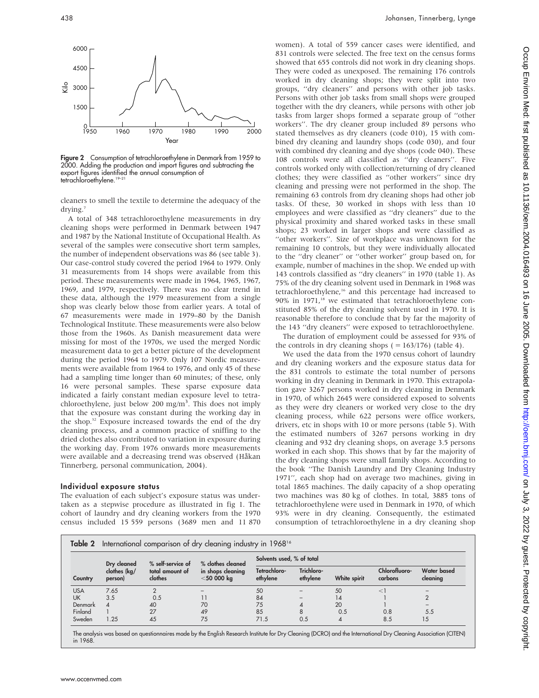

Figure 2 Consumption of tetrachloroethylene in Denmark from 1959 to 2000. Adding the production and import figures and subtracting the export figures identified the annual consumption of tetrachloroethylene.<sup>19-21</sup>

cleaners to smell the textile to determine the adequacy of the drying.7

A total of 348 tetrachloroethylene measurements in dry cleaning shops were performed in Denmark between 1947 and 1987 by the National Institute of Occupational Health. As several of the samples were consecutive short term samples, the number of independent observations was 86 (see table 3). Our case-control study covered the period 1964 to 1979. Only 31 measurements from 14 shops were available from this period. These measurements were made in 1964, 1965, 1967, 1969, and 1979, respectively. There was no clear trend in these data, although the 1979 measurement from a single shop was clearly below those from earlier years. A total of 67 measurements were made in 1979–80 by the Danish Technological Institute. These measurements were also below those from the 1960s. As Danish measurement data were missing for most of the 1970s, we used the merged Nordic measurement data to get a better picture of the development during the period 1964 to 1979. Only 107 Nordic measurements were available from 1964 to 1976, and only 45 of these had a sampling time longer than 60 minutes; of these, only 16 were personal samples. These sparse exposure data indicated a fairly constant median exposure level to tetrachloroethylene, just below 200 mg/m<sup>3</sup>. This does not imply that the exposure was constant during the working day in the shop.<sup>32</sup> Exposure increased towards the end of the dry cleaning process, and a common practice of sniffing to the dried clothes also contributed to variation in exposure during the working day. From 1976 onwards more measurements were available and a decreasing trend was observed (Håkan Tinnerberg, personal communication, 2004).

#### Individual exposure status

The evaluation of each subject's exposure status was undertaken as a stepwise procedure as illustrated in fig 1. The cohort of laundry and dry cleaning workers from the 1970 census included 15 559 persons (3689 men and 11 870

women). A total of 559 cancer cases were identified, and 831 controls were selected. The free text on the census forms showed that 655 controls did not work in dry cleaning shops. They were coded as unexposed. The remaining 176 controls worked in dry cleaning shops; they were split into two groups, ''dry cleaners'' and persons with other job tasks. Persons with other job tasks from small shops were grouped together with the dry cleaners, while persons with other job tasks from larger shops formed a separate group of ''other workers''. The dry cleaner group included 89 persons who stated themselves as dry cleaners (code 010), 15 with combined dry cleaning and laundry shops (code 030), and four with combined dry cleaning and dye shops (code 040). These 108 controls were all classified as ''dry cleaners''. Five controls worked only with collection/returning of dry cleaned clothes; they were classified as ''other workers'' since dry cleaning and pressing were not performed in the shop. The remaining 63 controls from dry cleaning shops had other job tasks. Of these, 30 worked in shops with less than 10 employees and were classified as ''dry cleaners'' due to the physical proximity and shared worked tasks in these small shops; 23 worked in larger shops and were classified as ''other workers''. Size of workplace was unknown for the remaining 10 controls, but they were individually allocated to the ''dry cleaner'' or ''other worker'' group based on, for example, number of machines in the shop. We ended up with 143 controls classified as ''dry cleaners'' in 1970 (table 1). As 75% of the dry cleaning solvent used in Denmark in 1968 was tetrachloroethylene,16 and this percentage had increased to 90% in 1971, $^{18}$  we estimated that tetrachloroethylene constituted 85% of the dry cleaning solvent used in 1970. It is reasonable therefore to conclude that by far the majority of the 143 ''dry cleaners'' were exposed to tetrachloroethylene.

The duration of employment could be assessed for 93% of the controls in dry cleaning shops  $( = 163/176)$  (table 4).

We used the data from the 1970 census cohort of laundry and dry cleaning workers and the exposure status data for the 831 controls to estimate the total number of persons working in dry cleaning in Denmark in 1970. This extrapolation gave 3267 persons worked in dry cleaning in Denmark in 1970, of which 2645 were considered exposed to solvents as they were dry cleaners or worked very close to the dry cleaning process, while 622 persons were office workers, drivers, etc in shops with 10 or more persons (table 5). With the estimated numbers of 3267 persons working in dry cleaning and 932 dry cleaning shops, on average 3.5 persons worked in each shop. This shows that by far the majority of the dry cleaning shops were small family shops. According to the book ''The Danish Laundry and Dry Cleaning Industry 1971'', each shop had on average two machines, giving in total 1865 machines. The daily capacity of a shop operating two machines was 80 kg of clothes. In total, 3885 tons of tetrachloroethylene were used in Denmark in 1970, of which 93% were in dry cleaning. Consequently, the estimated consumption of tetrachloroethylene in a dry cleaning shop

| Country    | Dry cleaned<br>clothes (kg/<br>person) | % self-service of<br>total amount of<br>clothes | % clothes cleaned<br>in shops cleaning<br>$<$ 50 000 kg | Solvents used, % of total |                        |              |                          |                         |  |
|------------|----------------------------------------|-------------------------------------------------|---------------------------------------------------------|---------------------------|------------------------|--------------|--------------------------|-------------------------|--|
|            |                                        |                                                 |                                                         | Tetrachloro-<br>ethylene  | Trichloro-<br>ethylene | White spirit | Chlorofluoro-<br>carbons | Water based<br>cleaning |  |
| <b>USA</b> | 7.65                                   |                                                 |                                                         | 50                        |                        | 50           | $\rm <$ 1                |                         |  |
| UK         | 3.5                                    | 0.5                                             |                                                         | 84                        |                        | 14           |                          |                         |  |
| Denmark    | 4                                      | 40                                              | 70                                                      | 75                        |                        | 20           |                          |                         |  |
| Finland    |                                        | 27                                              | 49                                                      | 85                        | 8                      | 0.5          | 0.8                      | 5.5                     |  |
| Sweden     | 1.25                                   | 45                                              | 75                                                      | 71.5                      | 0.5                    |              | 8.5                      | 15                      |  |

The analysis was based on questionnaires made by the English Research Institute for Dry Cleaning (DCRO) and the International Dry Cleaning Association (CITEN) in 1968.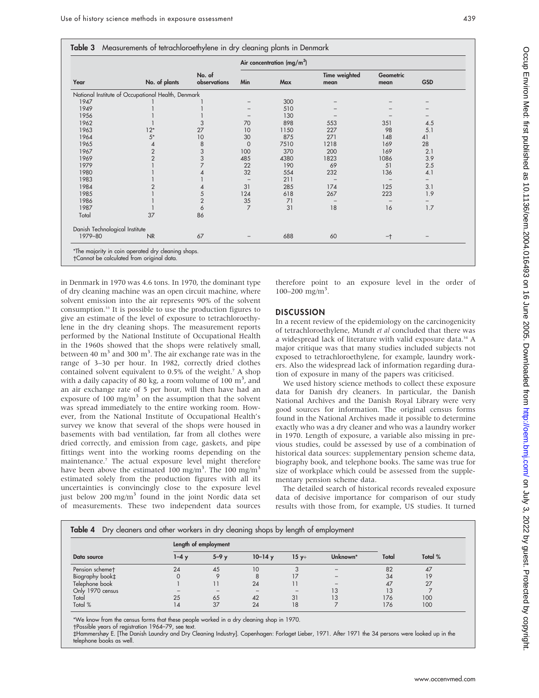|                                | No. of plants                                      | No. of<br>observations | Air concentration (mg/m <sup>3</sup> ) |      |                       |                   |                          |  |
|--------------------------------|----------------------------------------------------|------------------------|----------------------------------------|------|-----------------------|-------------------|--------------------------|--|
| Year                           |                                                    |                        | Min                                    | Max  | Time weighted<br>mean | Geometric<br>mean | <b>GSD</b>               |  |
|                                | National Institute of Occupational Health, Denmark |                        |                                        |      |                       |                   |                          |  |
| 1947                           |                                                    |                        |                                        | 300  |                       |                   |                          |  |
| 1949                           |                                                    |                        |                                        | 510  |                       |                   |                          |  |
| 1956                           |                                                    |                        |                                        | 130  |                       |                   |                          |  |
| 1962                           |                                                    | 3                      | 70                                     | 898  | 553                   | 351               | 4.5                      |  |
| 1963                           | $12*$                                              | 27                     | 10                                     | 1150 | 227                   | 98                | 5.1                      |  |
| 1964                           | $5^*$                                              | 10                     | 30                                     | 875  | 271                   | 148               | 41                       |  |
| 1965                           | 4                                                  | 8                      | $\Omega$                               | 7510 | 1218                  | 169               | 28                       |  |
| 1967                           | $\overline{2}$                                     | 3                      | 100                                    | 370  | 200                   | 169               | 2.1                      |  |
| 1969                           | $\overline{2}$                                     | 3                      | 485                                    | 4380 | 1823                  | 1086              | 3.9                      |  |
| 1979                           |                                                    |                        | 22                                     | 190  | 69                    | 51                | 2.5                      |  |
| 1980                           |                                                    |                        | 32                                     | 554  | 232                   | 136               | 4.1                      |  |
| 1983                           |                                                    |                        |                                        | 211  |                       |                   |                          |  |
| 1984                           |                                                    |                        | 31                                     | 285  | 174                   | 125               | 3.1                      |  |
| 1985                           |                                                    | 5                      | 124                                    | 618  | 267                   | 223               | 1.9                      |  |
| 1986                           |                                                    | $\overline{2}$         | 35                                     | 71   |                       |                   | $\overline{\phantom{0}}$ |  |
| 1987                           |                                                    | 6                      | $\overline{7}$                         | 31   | 18                    | 16                | 1.7                      |  |
| Total                          | 37                                                 | 86                     |                                        |      |                       |                   |                          |  |
| Danish Technological Institute |                                                    |                        |                                        |      |                       |                   |                          |  |
| 1979-80                        | NR                                                 | 67                     |                                        | 688  | 60                    | $-$ †             |                          |  |

Cannot be calculated from original data.

in Denmark in 1970 was 4.6 tons. In 1970, the dominant type of dry cleaning machine was an open circuit machine, where solvent emission into the air represents 90% of the solvent consumption.33 It is possible to use the production figures to give an estimate of the level of exposure to tetrachloroethylene in the dry cleaning shops. The measurement reports performed by the National Institute of Occupational Health in the 1960s showed that the shops were relatively small, between 40  $\text{m}^3$  and 300  $\text{m}^3$ . The air exchange rate was in the range of 3–30 per hour. In 1982, correctly dried clothes contained solvent equivalent to 0.5% of the weight.<sup>7</sup> A shop with a daily capacity of 80 kg, a room volume of  $100 \text{ m}^3$ , and an air exchange rate of 5 per hour, will then have had an exposure of 100 mg/m<sup>3</sup> on the assumption that the solvent was spread immediately to the entire working room. However, from the National Institute of Occupational Health's survey we know that several of the shops were housed in basements with bad ventilation, far from all clothes were dried correctly, and emission from cage, gaskets, and pipe fittings went into the working rooms depending on the maintenance.7 The actual exposure level might therefore have been above the estimated 100 mg/m<sup>3</sup>. The 100 mg/m<sup>3</sup> estimated solely from the production figures with all its uncertainties is convincingly close to the exposure level just below 200 mg/m<sup>3</sup> found in the joint Nordic data set of measurements. These two independent data sources

therefore point to an exposure level in the order of 100-200 mg/m<sup>3</sup>.

#### **DISCUSSION**

In a recent review of the epidemiology on the carcinogenicity of tetrachloroethylene, Mundt et al concluded that there was a widespread lack of literature with valid exposure data.<sup>34</sup> A major critique was that many studies included subjects not exposed to tetrachloroethylene, for example, laundry workers. Also the widespread lack of information regarding duration of exposure in many of the papers was criticised.

We used history science methods to collect these exposure data for Danish dry cleaners. In particular, the Danish National Archives and the Danish Royal Library were very good sources for information. The original census forms found in the National Archives made it possible to determine exactly who was a dry cleaner and who was a laundry worker in 1970. Length of exposure, a variable also missing in previous studies, could be assessed by use of a combination of historical data sources: supplementary pension scheme data, biography book, and telephone books. The same was true for size of workplace which could be assessed from the supplementary pension scheme data.

The detailed search of historical records revealed exposure data of decisive importance for comparison of our study results with those from, for example, US studies. It turned

|                  | Length of employment |        |            |         |          |       |         |
|------------------|----------------------|--------|------------|---------|----------|-------|---------|
| Data source      | $1-4y$               | $5-9y$ | $10 - 14y$ | $15 y+$ | Unknown* | Total | Total % |
| Pension schemet  | 24                   | 45     | 10         |         |          | 82    | 47      |
| Biography book‡  |                      |        |            | 17      |          | 34    | 19      |
| Telephone book   |                      |        | 24         | 11      |          | 47    | 27      |
| Only 1970 census |                      |        |            |         | 13       | 13    |         |
| Total            | 25                   | 65     | 42         | 31      | 13       | 176   | 100     |
| Total %          | 14                   | 37     | 24         | 18      |          | 176   | 100     |

\*We know from the census forms that these people worked in a dry cleaning shop in 1970.

Possible years of registration 1964–79, see text.

`Hammershøy E. [The Danish Laundry and Dry Cleaning Industry]. Copenhagen: Forlaget Lieber, 1971. After 1971 the 34 persons were looked up in the telephone books as well.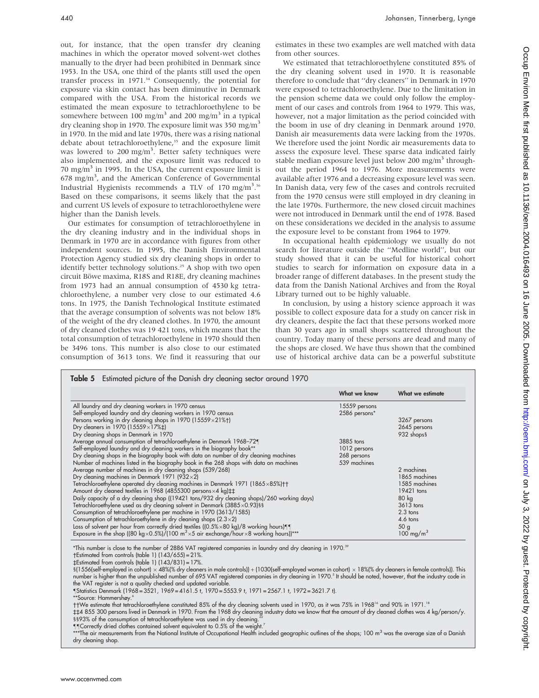out, for instance, that the open transfer dry cleaning machines in which the operator moved solvent-wet clothes manually to the dryer had been prohibited in Denmark since 1953. In the USA, one third of the plants still used the open transfer process in 1971.<sup>34</sup> Consequently, the potential for exposure via skin contact has been diminutive in Denmark compared with the USA. From the historical records we estimated the mean exposure to tetrachloroethylene to be somewhere between 100 mg/m<sup>3</sup> and 200 mg/m<sup>3</sup> in a typical dry cleaning shop in 1970. The exposure limit was 350 mg/m<sup>3</sup> in 1970. In the mid and late 1970s, there was a rising national debate about tetrachloroethylene,<sup>35</sup> and the exposure limit was lowered to 200 mg/m<sup>3</sup>. Better safety techniques were also implemented, and the exposure limit was reduced to 70 mg/m<sup>3</sup> in 1995. In the USA, the current exposure limit is 678 mg/m<sup>3</sup> , and the American Conference of Governmental Industrial Hygienists recommends a TLV of 170 mg/m<sup>3</sup>.<sup>36</sup> Based on these comparisons, it seems likely that the past and current US levels of exposure to tetrachloroethylene were higher than the Danish levels.

Our estimates for consumption of tetrachloroethylene in the dry cleaning industry and in the individual shops in Denmark in 1970 are in accordance with figures from other independent sources. In 1995, the Danish Environmental Protection Agency studied six dry cleaning shops in order to identify better technology solutions.<sup>25</sup> A shop with two open circuit Böwe maxima, R18S and R18E, dry cleaning machines from 1973 had an annual consumption of 4530 kg tetrachloroethylene, a number very close to our estimated 4.6 tons. In 1975, the Danish Technological Institute estimated that the average consumption of solvents was not below 18% of the weight of the dry cleaned clothes. In 1970, the amount of dry cleaned clothes was 19 421 tons, which means that the total consumption of tetrachloroethylene in 1970 should then be 3496 tons. This number is also close to our estimated consumption of 3613 tons. We find it reassuring that our estimates in these two examples are well matched with data from other sources.

We estimated that tetrachloroethylene constituted 85% of the dry cleaning solvent used in 1970. It is reasonable therefore to conclude that ''dry cleaners'' in Denmark in 1970 were exposed to tetrachloroethylene. Due to the limitation in the pension scheme data we could only follow the employment of our cases and controls from 1964 to 1979. This was, however, not a major limitation as the period coincided with the boom in use of dry cleaning in Denmark around 1970. Danish air measurements data were lacking from the 1970s. We therefore used the joint Nordic air measurements data to assess the exposure level. These sparse data indicated fairly stable median exposure level just below 200 mg/m<sup>3</sup> throughout the period 1964 to 1976. More measurements were available after 1976 and a decreasing exposure level was seen. In Danish data, very few of the cases and controls recruited from the 1970 census were still employed in dry cleaning in the late 1970s. Furthermore, the new closed circuit machines were not introduced in Denmark until the end of 1978. Based on these considerations we decided in the analysis to assume the exposure level to be constant from 1964 to 1979.

In occupational health epidemiology we usually do not search for literature outside the ''Medline world'', but our study showed that it can be useful for historical cohort studies to search for information on exposure data in a broader range of different databases. In the present study the data from the Danish National Archives and from the Royal Library turned out to be highly valuable.

In conclusion, by using a history science approach it was possible to collect exposure data for a study on cancer risk in dry cleaners, despite the fact that these persons worked more than 30 years ago in small shops scattered throughout the country. Today many of these persons are dead and many of the shops are closed. We have thus shown that the combined use of historical archive data can be a powerful substitute

|                                                                                                                  | What we know  | What we estimate      |
|------------------------------------------------------------------------------------------------------------------|---------------|-----------------------|
| All laundry and dry cleaning workers in 1970 census                                                              | 15559 persons |                       |
| Self-employed laundry and dry cleaning workers in 1970 census                                                    | 2586 persons* |                       |
| Persons working in dry cleaning shops in 1970 (15559 $\times$ 21%†)                                              |               | 3267 persons          |
| Dry cleaners in 1970 (15559 $\times$ 17% $\sharp$ )                                                              |               | 2645 persons          |
| Dry cleaning shops in Denmark in 1970                                                                            |               | 932 shops§            |
| Average annual consumption of tetrachloroethylene in Denmark 1968-72¶                                            | 3885 tons     |                       |
| Self-employed laundry and dry cleaning workers in the biography book**                                           | 1012 persons  |                       |
| Dry cleaning shops in the biography book with data on number of dry cleaning machines                            | 268 persons   |                       |
| Number of machines listed in the biography book in the 268 shops with data on machines                           | 539 machines  |                       |
| Average number of machines in dry cleaning shops (539/268)                                                       |               | 2 machines            |
| Dry cleaning machines in Denmark 1971 (932 $\times$ 2)                                                           |               | 1865 machines         |
| Tetrachloroethylene operated dry cleaning machines in Denmark 1971 (1865 $\times$ 85%)††                         |               | 1585 machines         |
| Amount dry cleaned textiles in 1968 (4855300 persons × 4 kg) ‡ ‡                                                 |               | 19421 tons            |
| Daily capacity of a dry cleaning shop ((19421 tons/932 dry cleaning shops)/260 working days)                     |               | 80 kg                 |
| Tetrachloroethylene used as dry cleaning solvent in Denmark $(3885\times0.93)\$ §                                |               | 3613 tons             |
| Consumption of tetrachloroethylene per machine in 1970 (3613/1585)                                               |               | $2.3$ tons            |
| Consumption of tetrachloroethylene in dry cleaning shops $(2.3\times2)$                                          |               | $4.6$ tons            |
| Loss of solvent per hour from correctly dried textiles ( $(0.5\% \times 80 \text{ kg})/8$ working hours)         |               | 50 <sub>g</sub>       |
| Exposure in the shop (80 kg × 0.5%)/(100 m <sup>3</sup> × 5 air exchange/hour × 8 working hours)) <sup>***</sup> |               | 100 mg/m <sup>3</sup> |

 $*$ This number is close to the number of 2886 VAT registered companies in laundry and dry cleaning in 1970. $^{\text{35}}$ 

 $\pm$ Estimated from controls (table 1) (143/831) = 17%.

§(1556(self-employed in cohort) × 48%(% dry cleaners in male controls)) + (1030(self-employed women in cohort) × 18%(% dry cleaners in female controls)). This number is higher than the unpublished number of 695 VAT registered companies in dry cleaning in 1970.<sup>5</sup> It should be noted, however, that the industry code in the VAT register is not a quality checked and updated variable.

-Statistics Denmark (1968 = 3521, 1969 = 4161.5 t, 1970 = 5553.9 t, 1971 = 2567.1 t, 1972 = 3621.7 t).

 $\dagger$  NVe estimate that tetrachloroethylene constituted 85% of the dry cleaning solvents used in 1970, as it was 75% in 1968<sup>16</sup> and 90% in 1971.<sup>18</sup>

``4 855 300 persons lived in Denmark in 1970. From the 1968 dry cleaning industry data we know that the amount of dry cleaned clothes was 4 kg/person/y. 193% of the consumption of tetrachloroethylene was used in dry cleaning.

¶¶Correctly dried clothes contained solvent equivalent to 0.5% of the weight.<sup>7</sup><br>\*\*\*The air measurements from the National Institute of Occupational Health included geographic outlines of the shops; 100 m<sup>3</sup> was the averag dry cleaning shop.

Estimated from controls (table 1) (143/655) = 21%.

<sup>\*\*</sup>Source: Hammershøy.<sup>6</sup>